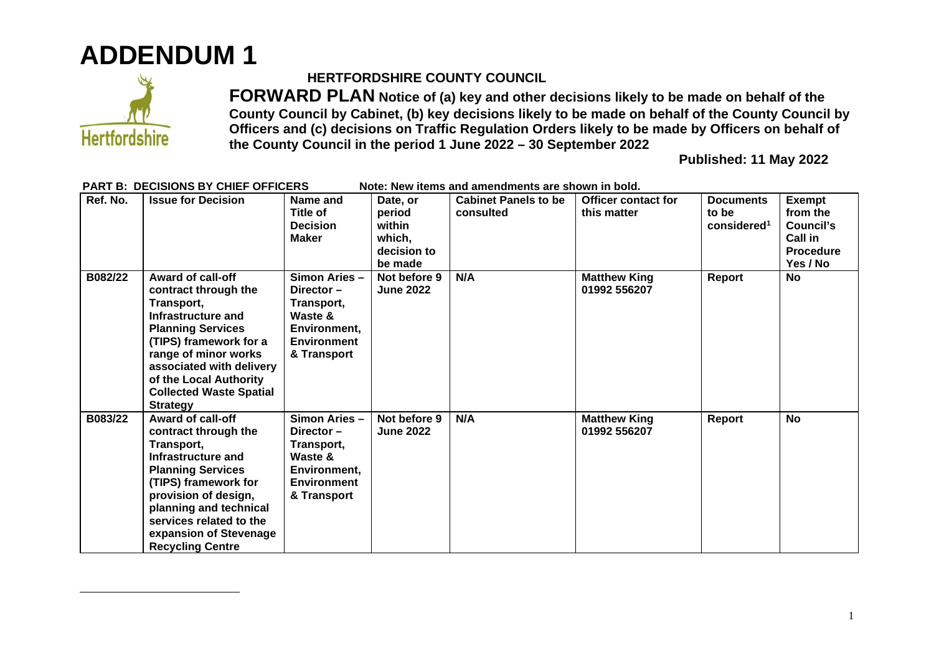## **ADDENDUM 1**



### **HERTFORDSHIRE COUNTY COUNCIL**

**FORWARD PLAN Notice of (a) key and other decisions likely to be made on behalf of the County Council by Cabinet, (b) key decisions likely to be made on behalf of the County Council by Officers and (c) decisions on Traffic Regulation Orders likely to be made by Officers on behalf of the County Council in the period 1 June 2022 – 30 September 2022** 

**Published: 11 May 2022** 

| Ref. No. | <b>Issue for Decision</b>                                                                                                                                                                                                                                                     | Name and<br><b>Title of</b><br><b>Decision</b><br><b>Maker</b>                                              | Date, or<br>period<br>within<br>which,<br>decision to<br>be made | <b>Cabinet Panels to be</b><br>consulted | <b>Officer contact for</b><br>this matter | <b>Documents</b><br>to be<br>considered <sup>1</sup> | <b>Exempt</b><br>from the<br>Council's<br>Call in<br><b>Procedure</b><br>Yes / No |
|----------|-------------------------------------------------------------------------------------------------------------------------------------------------------------------------------------------------------------------------------------------------------------------------------|-------------------------------------------------------------------------------------------------------------|------------------------------------------------------------------|------------------------------------------|-------------------------------------------|------------------------------------------------------|-----------------------------------------------------------------------------------|
| B082/22  | <b>Award of call-off</b><br>contract through the<br>Transport,<br>Infrastructure and<br><b>Planning Services</b><br>(TIPS) framework for a<br>range of minor works<br>associated with delivery<br>of the Local Authority<br><b>Collected Waste Spatial</b><br><b>Strategy</b> | Simon Aries -<br>Director $-$<br>Transport,<br>Waste &<br>Environment,<br><b>Environment</b><br>& Transport | Not before 9<br><b>June 2022</b>                                 | N/A                                      | <b>Matthew King</b><br>01992 556207       | Report                                               | No                                                                                |
| B083/22  | <b>Award of call-off</b><br>contract through the<br>Transport,<br>Infrastructure and<br><b>Planning Services</b><br>(TIPS) framework for<br>provision of design,<br>planning and technical<br>services related to the<br>expansion of Stevenage<br><b>Recycling Centre</b>    | Simon Aries -<br>Director $-$<br>Transport,<br>Waste &<br>Environment,<br><b>Environment</b><br>& Transport | Not before 9<br><b>June 2022</b>                                 | N/A                                      | <b>Matthew King</b><br>01992 556207       | Report                                               | <b>No</b>                                                                         |

#### PART B: DECISIONS BY CHIEF OFFICERS Note: New items and amendments are shown in bold.